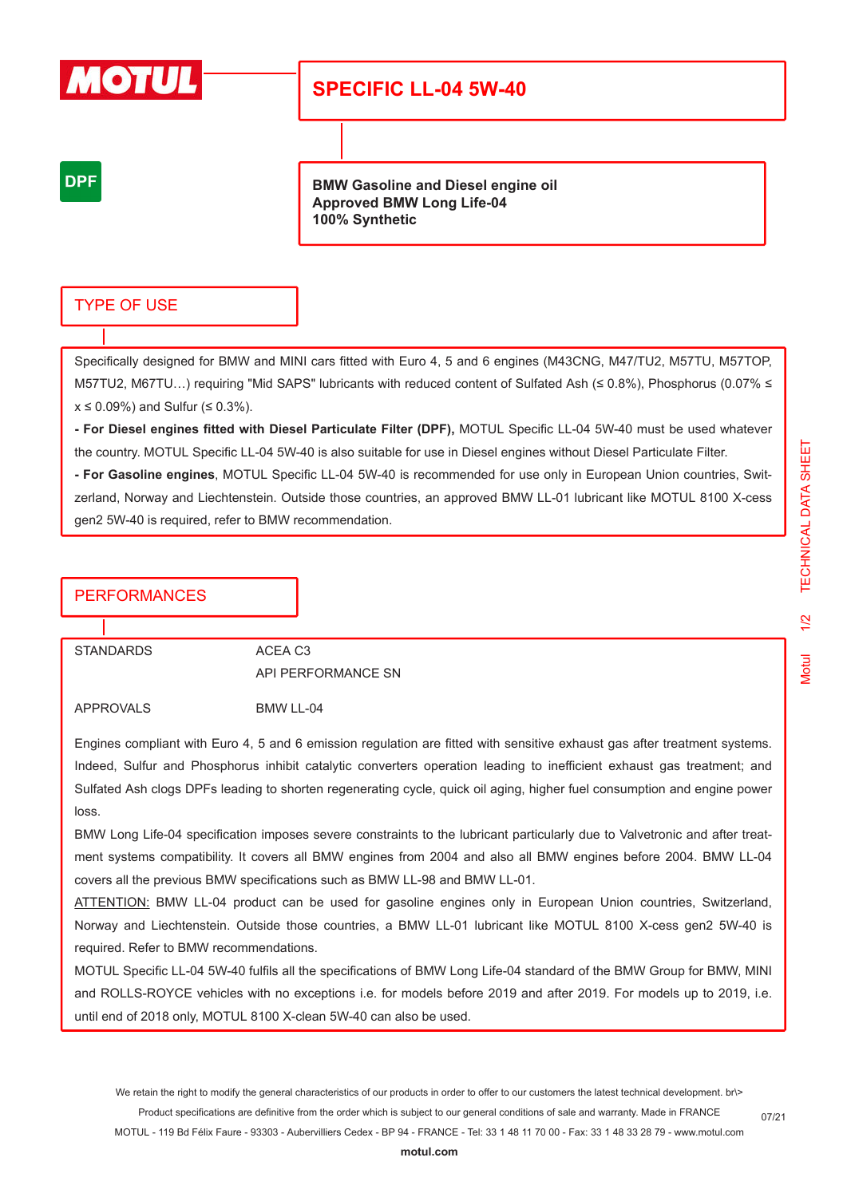

# **SPECIFIC LL-04 5W-40**

### **DPF**

**BMW Gasoline and Diesel engine oil Approved BMW Long Life-04 100% Synthetic**

#### TYPE OF USE

Specifically designed for BMW and MINI cars fitted with Euro 4, 5 and 6 engines (M43CNG, M47/TU2, M57TU, M57TOP, M57TU2, M67TU…) requiring "Mid SAPS" lubricants with reduced content of Sulfated Ash (≤ 0.8%), Phosphorus (0.07% ≤  $x \le 0.09\%$ ) and Sulfur ( $\le 0.3\%$ ).

**- For Diesel engines fitted with Diesel Particulate Filter (DPF),** MOTUL Specific LL-04 5W-40 must be used whatever the country. MOTUL Specific LL-04 5W-40 is also suitable for use in Diesel engines without Diesel Particulate Filter.

**- For Gasoline engines**, MOTUL Specific LL-04 5W-40 is recommended for use only in European Union countries, Switzerland, Norway and Liechtenstein. Outside those countries, an approved BMW LL-01 lubricant like MOTUL 8100 X-cess gen2 5W-40 is required, refer to BMW recommendation.

#### PERFORMANCES

STANDARDS ACEA C3

API PERFORMANCE SN

APPROVALS BMW LL-04

Engines compliant with Euro 4, 5 and 6 emission regulation are fitted with sensitive exhaust gas after treatment systems. Indeed, Sulfur and Phosphorus inhibit catalytic converters operation leading to inefficient exhaust gas treatment; and Sulfated Ash clogs DPFs leading to shorten regenerating cycle, quick oil aging, higher fuel consumption and engine power loss.

BMW Long Life-04 specification imposes severe constraints to the lubricant particularly due to Valvetronic and after treatment systems compatibility. It covers all BMW engines from 2004 and also all BMW engines before 2004. BMW LL-04 covers all the previous BMW specifications such as BMW LL-98 and BMW LL-01.

ATTENTION: BMW LL-04 product can be used for gasoline engines only in European Union countries, Switzerland, Norway and Liechtenstein. Outside those countries, a BMW LL-01 lubricant like MOTUL 8100 X-cess gen2 5W-40 is required. Refer to BMW recommendations.

MOTUL Specific LL-04 5W-40 fulfils all the specifications of BMW Long Life-04 standard of the BMW Group for BMW, MINI and ROLLS-ROYCE vehicles with no exceptions i.e. for models before 2019 and after 2019. For models up to 2019, i.e. until end of 2018 only, MOTUL 8100 X-clean 5W-40 can also be used.

07/21